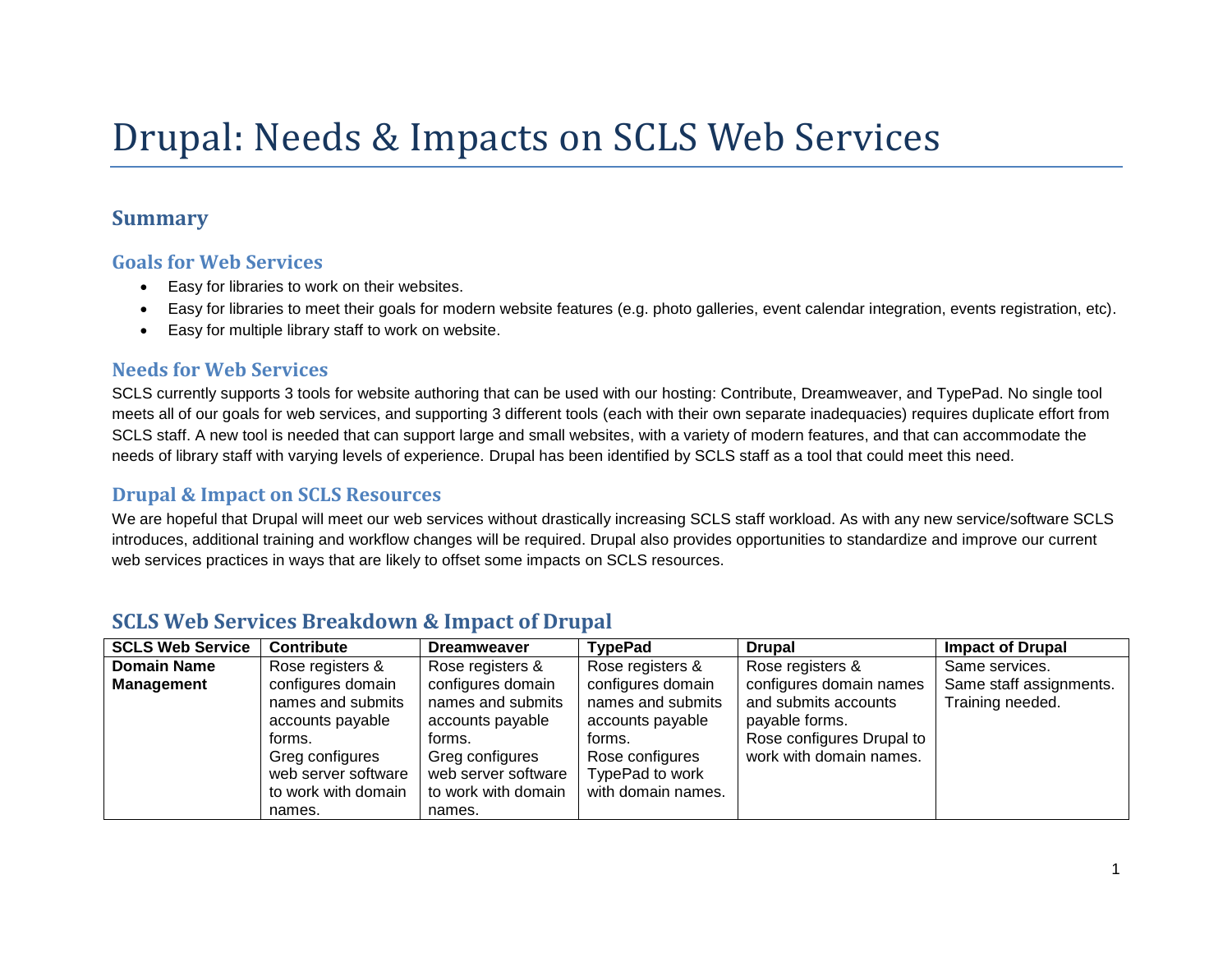# Drupal: Needs & Impacts on SCLS Web Services

## **Summary**

#### **Goals for Web Services**

- Easy for libraries to work on their websites.
- Easy for libraries to meet their goals for modern website features (e.g. photo galleries, event calendar integration, events registration, etc).
- Easy for multiple library staff to work on website.

#### **Needs for Web Services**

SCLS currently supports 3 tools for website authoring that can be used with our hosting: Contribute, Dreamweaver, and TypePad. No single tool meets all of our goals for web services, and supporting 3 different tools (each with their own separate inadequacies) requires duplicate effort from SCLS staff. A new tool is needed that can support large and small websites, with a variety of modern features, and that can accommodate the needs of library staff with varying levels of experience. Drupal has been identified by SCLS staff as a tool that could meet this need.

#### **Drupal & Impact on SCLS Resources**

We are hopeful that Drupal will meet our web services without drastically increasing SCLS staff workload. As with any new service/software SCLS introduces, additional training and workflow changes will be required. Drupal also provides opportunities to standardize and improve our current web services practices in ways that are likely to offset some impacts on SCLS resources.

| <b>SCLS Web Service</b> | <b>Contribute</b>                                                                                                          | <b>Dreamweaver</b>                                                                                                         | <b>TypePad</b>                                                                                              | <b>Drupal</b>                                                                                  | <b>Impact of Drupal</b> |
|-------------------------|----------------------------------------------------------------------------------------------------------------------------|----------------------------------------------------------------------------------------------------------------------------|-------------------------------------------------------------------------------------------------------------|------------------------------------------------------------------------------------------------|-------------------------|
| <b>Domain Name</b>      | Rose registers &                                                                                                           | Rose registers &                                                                                                           | Rose registers &                                                                                            | Rose registers &                                                                               | Same services.          |
| <b>Management</b>       | configures domain                                                                                                          | configures domain                                                                                                          | configures domain                                                                                           | configures domain names                                                                        | Same staff assignments. |
|                         | names and submits<br>accounts payable<br>forms.<br>Greg configures<br>web server software<br>to work with domain<br>names. | names and submits<br>accounts payable<br>forms.<br>Greg configures<br>web server software<br>to work with domain<br>names. | names and submits<br>accounts payable<br>forms.<br>Rose configures<br>TypePad to work<br>with domain names. | and submits accounts<br>payable forms.<br>Rose configures Drupal to<br>work with domain names. | Training needed.        |

## **SCLS Web Services Breakdown & Impact of Drupal**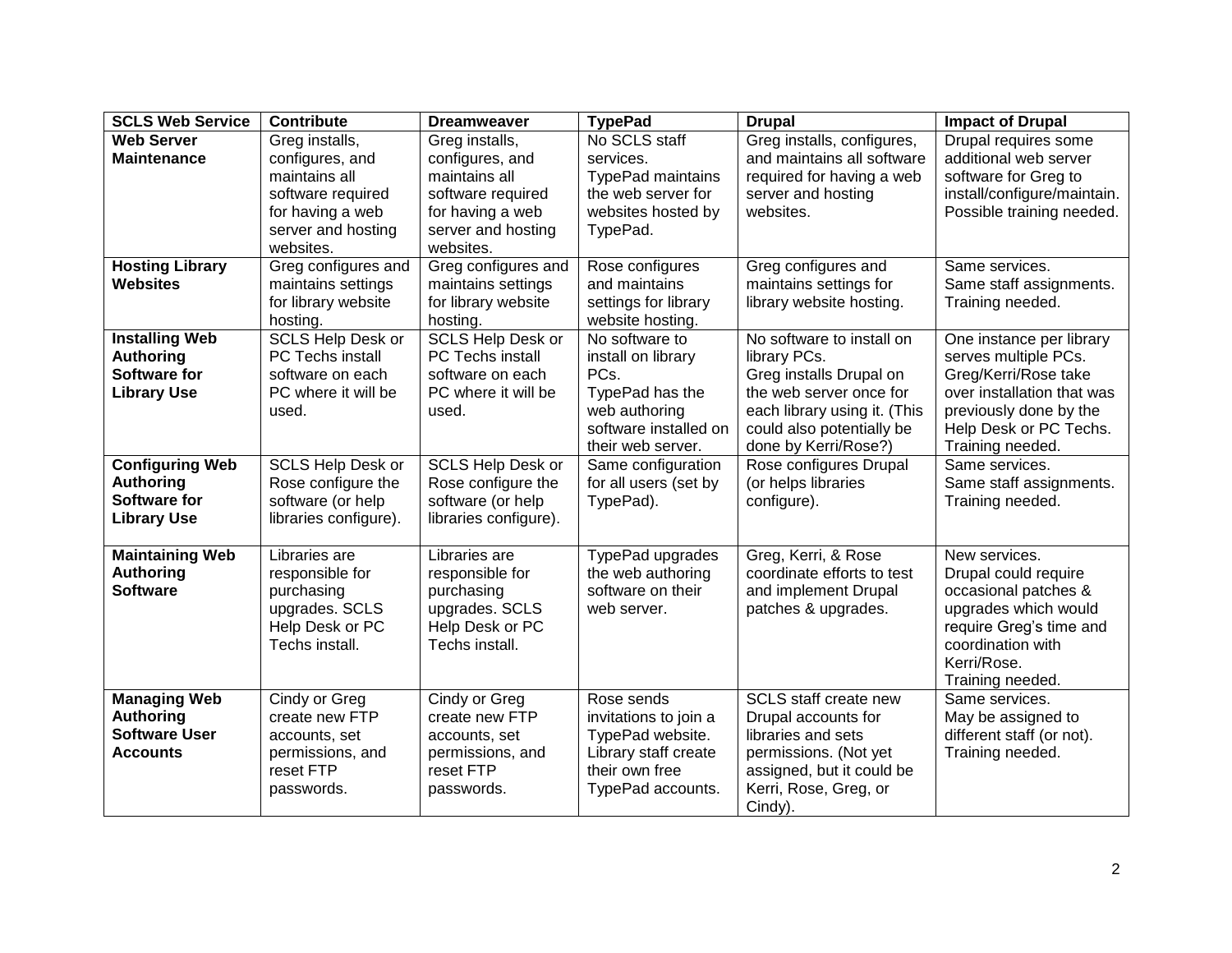| <b>SCLS Web Service</b>                                                                 | <b>Contribute</b>                                                                                                              | <b>Dreamweaver</b>                                                                                                             | <b>TypePad</b>                                                                                                                 | <b>Drupal</b>                                                                                                                                                                        | <b>Impact of Drupal</b>                                                                                                                                                        |
|-----------------------------------------------------------------------------------------|--------------------------------------------------------------------------------------------------------------------------------|--------------------------------------------------------------------------------------------------------------------------------|--------------------------------------------------------------------------------------------------------------------------------|--------------------------------------------------------------------------------------------------------------------------------------------------------------------------------------|--------------------------------------------------------------------------------------------------------------------------------------------------------------------------------|
| <b>Web Server</b><br><b>Maintenance</b>                                                 | Greg installs,<br>configures, and<br>maintains all<br>software required<br>for having a web<br>server and hosting<br>websites. | Greg installs,<br>configures, and<br>maintains all<br>software required<br>for having a web<br>server and hosting<br>websites. | No SCLS staff<br>services.<br>TypePad maintains<br>the web server for<br>websites hosted by<br>TypePad.                        | Greg installs, configures,<br>and maintains all software<br>required for having a web<br>server and hosting<br>websites.                                                             | Drupal requires some<br>additional web server<br>software for Greg to<br>install/configure/maintain.<br>Possible training needed.                                              |
| <b>Hosting Library</b><br><b>Websites</b>                                               | Greg configures and<br>maintains settings<br>for library website<br>hosting.                                                   | Greg configures and<br>maintains settings<br>for library website<br>hosting.                                                   | Rose configures<br>and maintains<br>settings for library<br>website hosting.                                                   | Greg configures and<br>maintains settings for<br>library website hosting.                                                                                                            | Same services.<br>Same staff assignments.<br>Training needed.                                                                                                                  |
| <b>Installing Web</b><br><b>Authoring</b><br><b>Software for</b><br><b>Library Use</b>  | <b>SCLS Help Desk or</b><br>PC Techs install<br>software on each<br>PC where it will be<br>used.                               | <b>SCLS Help Desk or</b><br>PC Techs install<br>software on each<br>PC where it will be<br>used.                               | No software to<br>install on library<br>PCs.<br>TypePad has the<br>web authoring<br>software installed on<br>their web server. | No software to install on<br>library PCs.<br>Greg installs Drupal on<br>the web server once for<br>each library using it. (This<br>could also potentially be<br>done by Kerri/Rose?) | One instance per library<br>serves multiple PCs.<br>Greg/Kerri/Rose take<br>over installation that was<br>previously done by the<br>Help Desk or PC Techs.<br>Training needed. |
| <b>Configuring Web</b><br><b>Authoring</b><br><b>Software for</b><br><b>Library Use</b> | <b>SCLS Help Desk or</b><br>Rose configure the<br>software (or help<br>libraries configure).                                   | <b>SCLS Help Desk or</b><br>Rose configure the<br>software (or help<br>libraries configure).                                   | Same configuration<br>for all users (set by<br>TypePad).                                                                       | Rose configures Drupal<br>(or helps libraries<br>configure).                                                                                                                         | Same services.<br>Same staff assignments.<br>Training needed.                                                                                                                  |
| <b>Maintaining Web</b><br><b>Authoring</b><br><b>Software</b>                           | Libraries are<br>responsible for<br>purchasing<br>upgrades. SCLS<br>Help Desk or PC<br>Techs install.                          | Libraries are<br>responsible for<br>purchasing<br>upgrades. SCLS<br>Help Desk or PC<br>Techs install.                          | TypePad upgrades<br>the web authoring<br>software on their<br>web server.                                                      | Greg, Kerri, & Rose<br>coordinate efforts to test<br>and implement Drupal<br>patches & upgrades.                                                                                     | New services.<br>Drupal could require<br>occasional patches &<br>upgrades which would<br>require Greg's time and<br>coordination with<br>Kerri/Rose.<br>Training needed.       |
| <b>Managing Web</b><br><b>Authoring</b><br><b>Software User</b><br><b>Accounts</b>      | Cindy or Greg<br>create new FTP<br>accounts, set<br>permissions, and<br>reset FTP<br>passwords.                                | Cindy or Greg<br>create new FTP<br>accounts, set<br>permissions, and<br>reset FTP<br>passwords.                                | Rose sends<br>invitations to join a<br>TypePad website.<br>Library staff create<br>their own free<br>TypePad accounts.         | SCLS staff create new<br>Drupal accounts for<br>libraries and sets<br>permissions. (Not yet<br>assigned, but it could be<br>Kerri, Rose, Greg, or<br>Cindy).                         | Same services.<br>May be assigned to<br>different staff (or not).<br>Training needed.                                                                                          |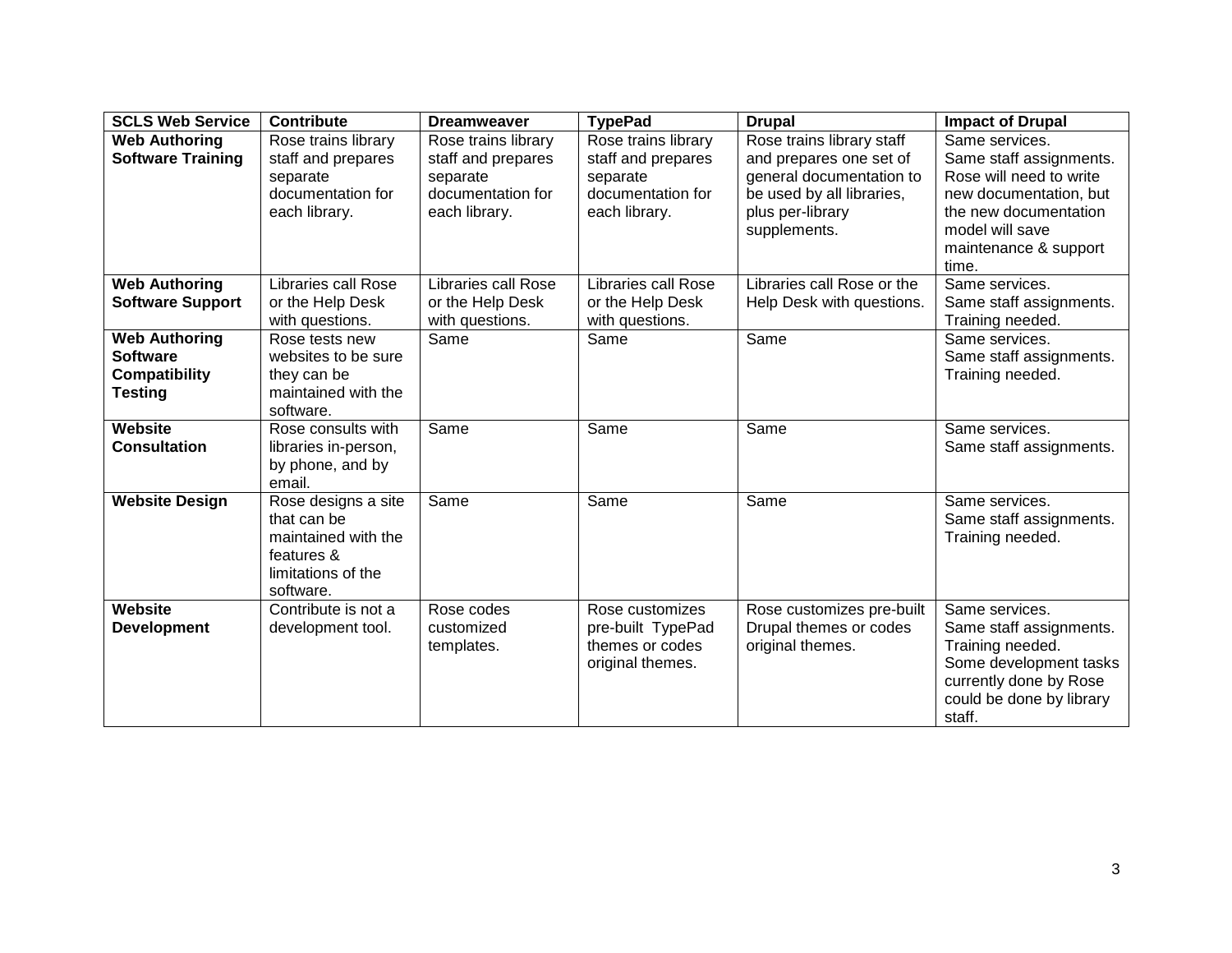| <b>SCLS Web Service</b>                                                           | <b>Contribute</b>                                                                                          | <b>Dreamweaver</b>                                                                          | <b>TypePad</b>                                                                              | <b>Drupal</b>                                                                                                                                     | <b>Impact of Drupal</b>                                                                                                                                                      |
|-----------------------------------------------------------------------------------|------------------------------------------------------------------------------------------------------------|---------------------------------------------------------------------------------------------|---------------------------------------------------------------------------------------------|---------------------------------------------------------------------------------------------------------------------------------------------------|------------------------------------------------------------------------------------------------------------------------------------------------------------------------------|
| <b>Web Authoring</b><br><b>Software Training</b>                                  | Rose trains library<br>staff and prepares<br>separate<br>documentation for<br>each library.                | Rose trains library<br>staff and prepares<br>separate<br>documentation for<br>each library. | Rose trains library<br>staff and prepares<br>separate<br>documentation for<br>each library. | Rose trains library staff<br>and prepares one set of<br>general documentation to<br>be used by all libraries,<br>plus per-library<br>supplements. | Same services.<br>Same staff assignments.<br>Rose will need to write<br>new documentation, but<br>the new documentation<br>model will save<br>maintenance & support<br>time. |
| <b>Web Authoring</b><br><b>Software Support</b>                                   | Libraries call Rose<br>or the Help Desk<br>with questions.                                                 | Libraries call Rose<br>or the Help Desk<br>with questions.                                  | <b>Libraries call Rose</b><br>or the Help Desk<br>with questions.                           | Libraries call Rose or the<br>Help Desk with questions.                                                                                           | Same services.<br>Same staff assignments.<br>Training needed.                                                                                                                |
| <b>Web Authoring</b><br><b>Software</b><br><b>Compatibility</b><br><b>Testing</b> | Rose tests new<br>websites to be sure<br>they can be<br>maintained with the<br>software.                   | Same                                                                                        | Same                                                                                        | Same                                                                                                                                              | Same services.<br>Same staff assignments.<br>Training needed.                                                                                                                |
| Website<br><b>Consultation</b>                                                    | Rose consults with<br>libraries in-person,<br>by phone, and by<br>email.                                   | Same                                                                                        | Same                                                                                        | Same                                                                                                                                              | Same services.<br>Same staff assignments.                                                                                                                                    |
| <b>Website Design</b>                                                             | Rose designs a site<br>that can be<br>maintained with the<br>features &<br>limitations of the<br>software. | Same                                                                                        | Same                                                                                        | Same                                                                                                                                              | Same services.<br>Same staff assignments.<br>Training needed.                                                                                                                |
| Website<br><b>Development</b>                                                     | Contribute is not a<br>development tool.                                                                   | Rose codes<br>customized<br>templates.                                                      | Rose customizes<br>pre-built TypePad<br>themes or codes<br>original themes.                 | Rose customizes pre-built<br>Drupal themes or codes<br>original themes.                                                                           | Same services.<br>Same staff assignments.<br>Training needed.<br>Some development tasks<br>currently done by Rose<br>could be done by library<br>staff.                      |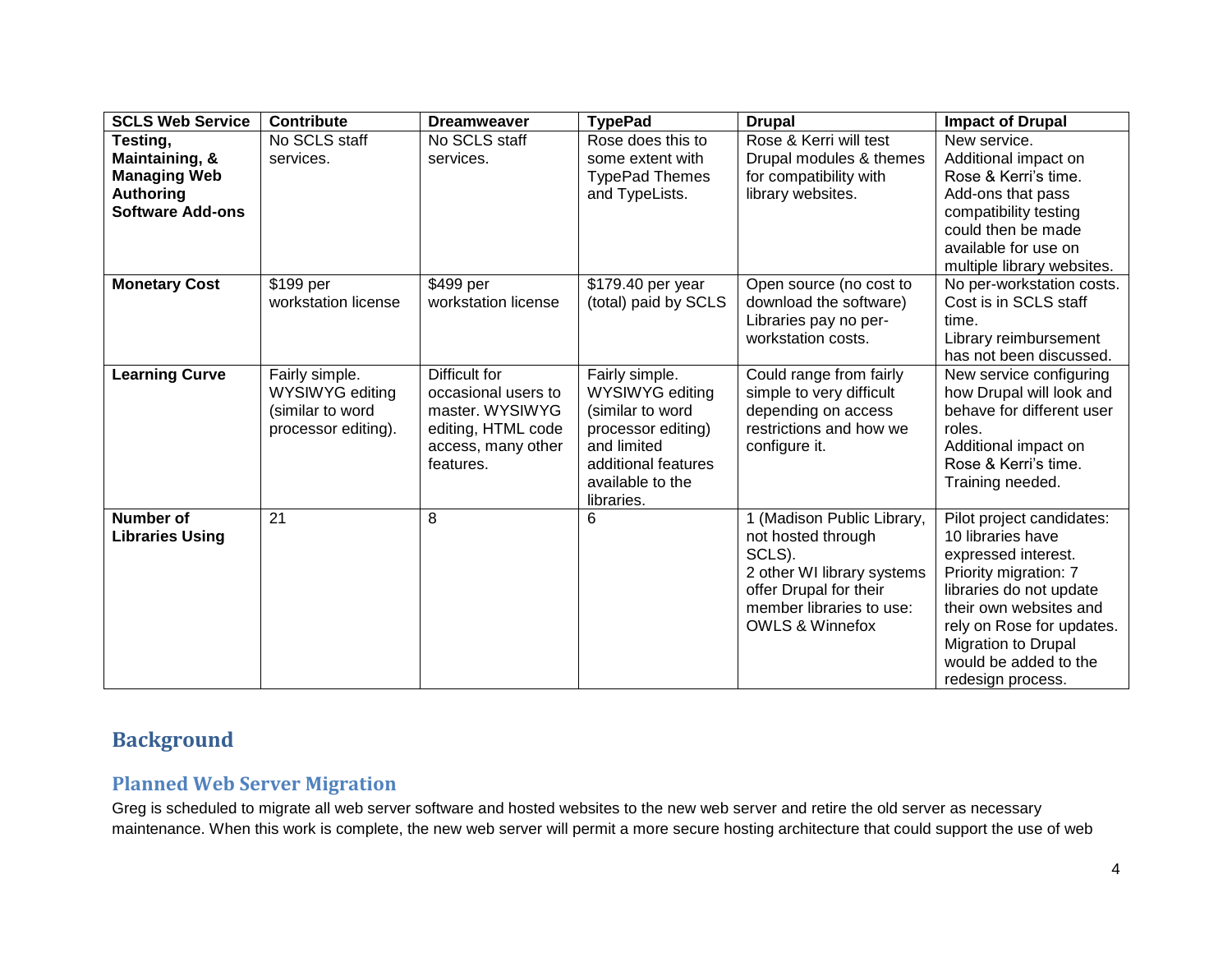| <b>SCLS Web Service</b>                                                                   | <b>Contribute</b>                                                                   | <b>Dreamweaver</b>                                                                                               | <b>TypePad</b>                                                                                                                                             | <b>Drupal</b>                                                                                                                                                                | <b>Impact of Drupal</b>                                                                                                                                                                                                                                      |
|-------------------------------------------------------------------------------------------|-------------------------------------------------------------------------------------|------------------------------------------------------------------------------------------------------------------|------------------------------------------------------------------------------------------------------------------------------------------------------------|------------------------------------------------------------------------------------------------------------------------------------------------------------------------------|--------------------------------------------------------------------------------------------------------------------------------------------------------------------------------------------------------------------------------------------------------------|
| Testing,<br>Maintaining, &<br><b>Managing Web</b><br>Authoring<br><b>Software Add-ons</b> | No SCLS staff<br>services.                                                          | No SCLS staff<br>services.                                                                                       | Rose does this to<br>some extent with<br><b>TypePad Themes</b><br>and TypeLists.                                                                           | Rose & Kerri will test<br>Drupal modules & themes<br>for compatibility with<br>library websites.                                                                             | New service.<br>Additional impact on<br>Rose & Kerri's time.<br>Add-ons that pass<br>compatibility testing<br>could then be made<br>available for use on<br>multiple library websites.                                                                       |
| <b>Monetary Cost</b>                                                                      | \$199 per<br>workstation license                                                    | \$499 per<br>workstation license                                                                                 | \$179.40 per year<br>(total) paid by SCLS                                                                                                                  | Open source (no cost to<br>download the software)<br>Libraries pay no per-<br>workstation costs.                                                                             | No per-workstation costs.<br>Cost is in SCLS staff<br>time.<br>Library reimbursement<br>has not been discussed.                                                                                                                                              |
| <b>Learning Curve</b>                                                                     | Fairly simple.<br><b>WYSIWYG editing</b><br>(similar to word<br>processor editing). | Difficult for<br>occasional users to<br>master. WYSIWYG<br>editing, HTML code<br>access, many other<br>features. | Fairly simple.<br><b>WYSIWYG editing</b><br>(similar to word<br>processor editing)<br>and limited<br>additional features<br>available to the<br>libraries. | Could range from fairly<br>simple to very difficult<br>depending on access<br>restrictions and how we<br>configure it.                                                       | New service configuring<br>how Drupal will look and<br>behave for different user<br>roles.<br>Additional impact on<br>Rose & Kerri's time.<br>Training needed.                                                                                               |
| <b>Number of</b><br><b>Libraries Using</b>                                                | 21                                                                                  | 8                                                                                                                | 6                                                                                                                                                          | 1 (Madison Public Library,<br>not hosted through<br>SCLS).<br>2 other WI library systems<br>offer Drupal for their<br>member libraries to use:<br><b>OWLS &amp; Winnefox</b> | Pilot project candidates:<br>10 libraries have<br>expressed interest.<br>Priority migration: 7<br>libraries do not update<br>their own websites and<br>rely on Rose for updates.<br><b>Migration to Drupal</b><br>would be added to the<br>redesign process. |

## **Background**

## **Planned Web Server Migration**

Greg is scheduled to migrate all web server software and hosted websites to the new web server and retire the old server as necessary maintenance. When this work is complete, the new web server will permit a more secure hosting architecture that could support the use of web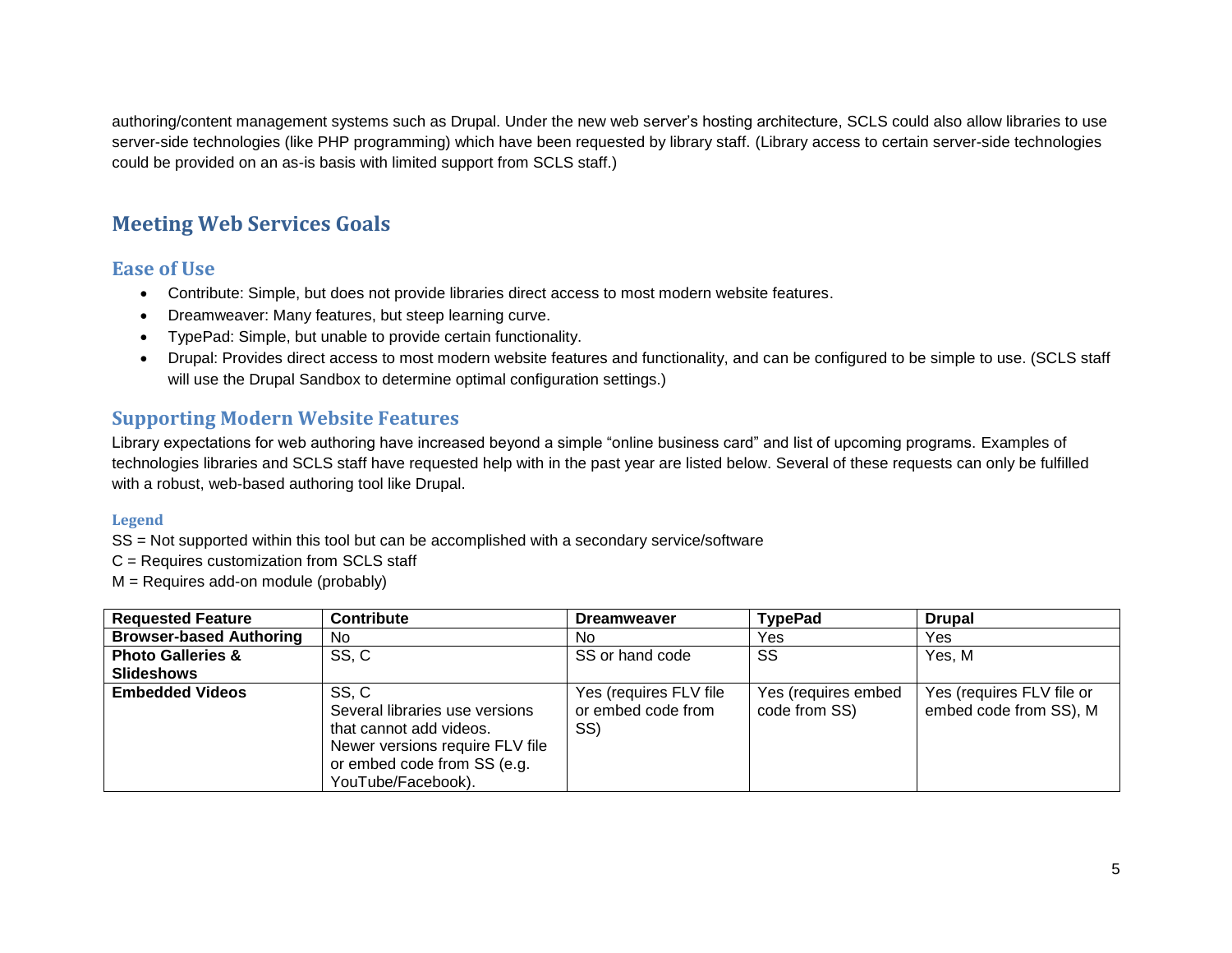authoring/content management systems such as Drupal. Under the new web server's hosting architecture, SCLS could also allow libraries to use server-side technologies (like PHP programming) which have been requested by library staff. (Library access to certain server-side technologies could be provided on an as-is basis with limited support from SCLS staff.)

## **Meeting Web Services Goals**

### **Ease of Use**

- Contribute: Simple, but does not provide libraries direct access to most modern website features.
- Dreamweaver: Many features, but steep learning curve.
- TypePad: Simple, but unable to provide certain functionality.
- Drupal: Provides direct access to most modern website features and functionality, and can be configured to be simple to use. (SCLS staff will use the Drupal Sandbox to determine optimal configuration settings.)

## **Supporting Modern Website Features**

Library expectations for web authoring have increased beyond a simple "online business card" and list of upcoming programs. Examples of technologies libraries and SCLS staff have requested help with in the past year are listed below. Several of these requests can only be fulfilled with a robust, web-based authoring tool like Drupal.

#### **Legend**

SS = Not supported within this tool but can be accomplished with a secondary service/software

C = Requires customization from SCLS staff

M = Requires add-on module (probably)

| <b>Requested Feature</b>       | <b>Contribute</b>                                                                                                                                          | <b>Dreamweaver</b>                                  | <b>TypePad</b>                       | <b>Drupal</b>                                       |
|--------------------------------|------------------------------------------------------------------------------------------------------------------------------------------------------------|-----------------------------------------------------|--------------------------------------|-----------------------------------------------------|
| <b>Browser-based Authoring</b> | No                                                                                                                                                         | No                                                  | Yes                                  | Yes                                                 |
| <b>Photo Galleries &amp;</b>   | SS, C                                                                                                                                                      | SS or hand code                                     | SS                                   | Yes, M                                              |
| <b>Slideshows</b>              |                                                                                                                                                            |                                                     |                                      |                                                     |
| <b>Embedded Videos</b>         | SS, C<br>Several libraries use versions<br>that cannot add videos.<br>Newer versions require FLV file<br>or embed code from SS (e.g.<br>YouTube/Facebook). | Yes (requires FLV file<br>or embed code from<br>SS) | Yes (requires embed<br>code from SS) | Yes (requires FLV file or<br>embed code from SS), M |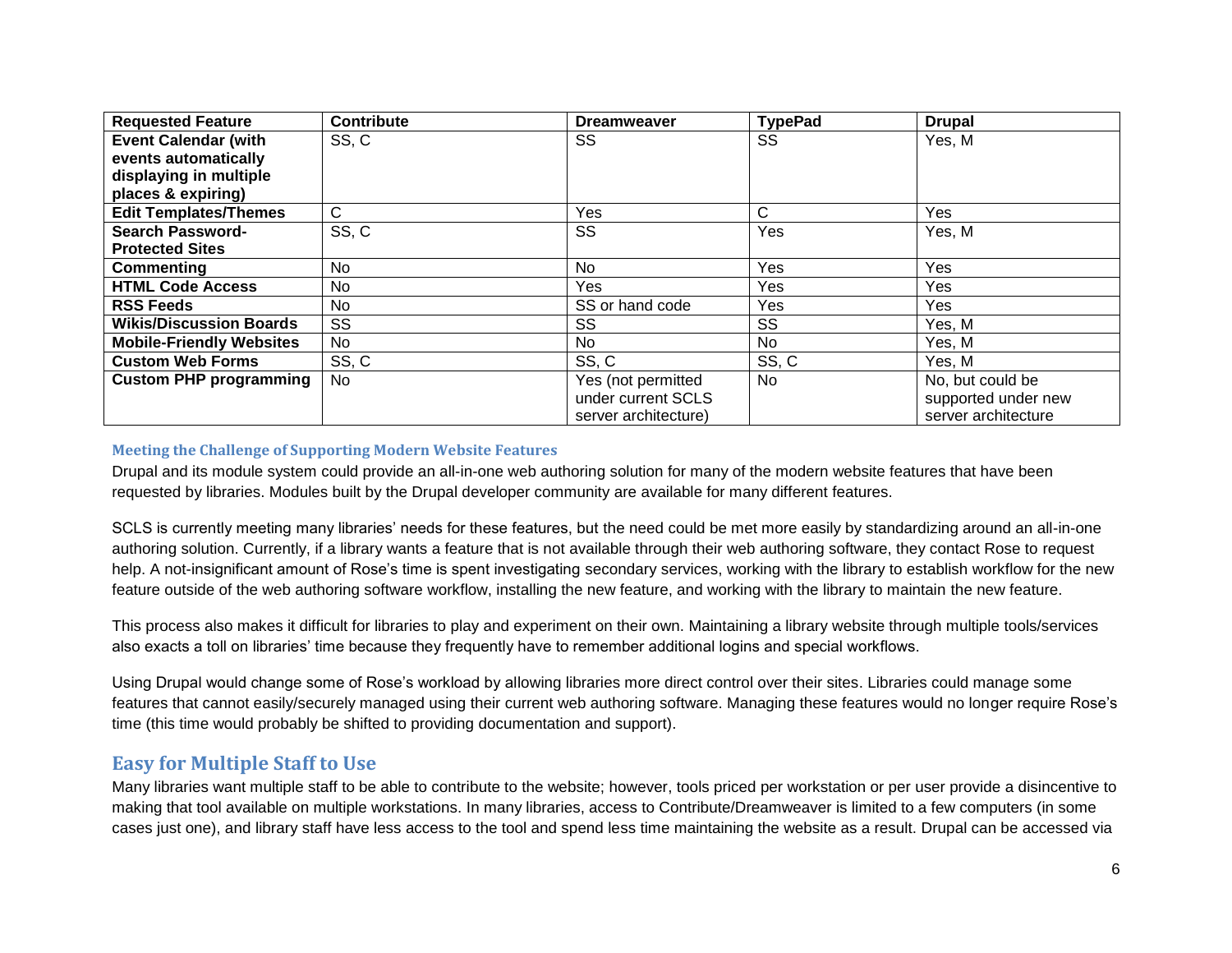| <b>Requested Feature</b>        | Contribute   | <b>Dreamweaver</b>   | <b>TypePad</b> | <b>Drupal</b>       |
|---------------------------------|--------------|----------------------|----------------|---------------------|
| <b>Event Calendar (with</b>     | SS, C        | SS                   | SS             | Yes, M              |
| events automatically            |              |                      |                |                     |
| displaying in multiple          |              |                      |                |                     |
| places & expiring)              |              |                      |                |                     |
| <b>Edit Templates/Themes</b>    | $\mathsf{C}$ | Yes                  | С              | Yes                 |
| <b>Search Password-</b>         | SS, C        | SS                   | Yes            | Yes, M              |
| <b>Protected Sites</b>          |              |                      |                |                     |
| Commenting                      | <b>No</b>    | N <sub>o</sub>       | Yes            | Yes                 |
| <b>HTML Code Access</b>         | No.          | Yes.                 | <b>Yes</b>     | Yes                 |
| <b>RSS Feeds</b>                | No.          | SS or hand code      | <b>Yes</b>     | Yes                 |
| <b>Wikis/Discussion Boards</b>  | SS           | SS                   | SS             | Yes, M              |
| <b>Mobile-Friendly Websites</b> | No           | No                   | <b>No</b>      | Yes, M              |
| <b>Custom Web Forms</b>         | SS, C        | SS, C                | SS, C          | Yes, M              |
| <b>Custom PHP programming</b>   | <b>No</b>    | Yes (not permitted   | <b>No</b>      | No, but could be    |
|                                 |              | under current SCLS   |                | supported under new |
|                                 |              | server architecture) |                | server architecture |

#### **Meeting the Challenge of Supporting Modern Website Features**

Drupal and its module system could provide an all-in-one web authoring solution for many of the modern website features that have been requested by libraries. Modules built by the Drupal developer community are available for many different features.

SCLS is currently meeting many libraries' needs for these features, but the need could be met more easily by standardizing around an all-in-one authoring solution. Currently, if a library wants a feature that is not available through their web authoring software, they contact Rose to request help. A not-insignificant amount of Rose's time is spent investigating secondary services, working with the library to establish workflow for the new feature outside of the web authoring software workflow, installing the new feature, and working with the library to maintain the new feature.

This process also makes it difficult for libraries to play and experiment on their own. Maintaining a library website through multiple tools/services also exacts a toll on libraries' time because they frequently have to remember additional logins and special workflows.

Using Drupal would change some of Rose's workload by allowing libraries more direct control over their sites. Libraries could manage some features that cannot easily/securely managed using their current web authoring software. Managing these features would no longer require Rose's time (this time would probably be shifted to providing documentation and support).

#### **Easy for Multiple Staff to Use**

Many libraries want multiple staff to be able to contribute to the website; however, tools priced per workstation or per user provide a disincentive to making that tool available on multiple workstations. In many libraries, access to Contribute/Dreamweaver is limited to a few computers (in some cases just one), and library staff have less access to the tool and spend less time maintaining the website as a result. Drupal can be accessed via